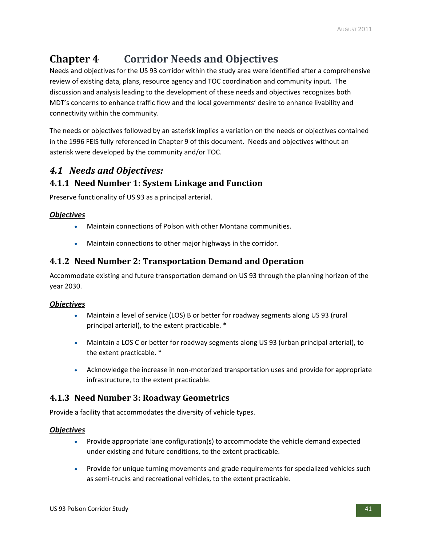# **Chapter 4 Corridor Needs and Objectives**

Needs and objectives for the US 93 corridor within the study area were identified after a comprehensive review of existing data, plans, resource agency and TOC coordination and community input. The discussion and analysis leading to the development of these needs and objectives recognizes both MDT's concerns to enhance traffic flow and the local governments' desire to enhance livability and connectivity within the community.

The needs or objectives followed by an asterisk implies a variation on the needs or objectives contained in the 1996 FEIS fully referenced in Chapter 9 of this document. Needs and objectives without an asterisk were developed by the community and/or TOC.

## *4.1 Needs and Objectives:*

## **4.1.1 Need Number 1: System Linkage and Function**

Preserve functionality of US 93 as a principal arterial.

#### *Objectives*

- Maintain connections of Polson with other Montana communities.
- Maintain connections to other major highways in the corridor.

## **4.1.2 Need Number 2: Transportation Demand and Operation**

Accommodate existing and future transportation demand on US 93 through the planning horizon of the year 2030.

#### *Objectives*

- Maintain a level of service (LOS) B or better for roadway segments along US 93 (rural principal arterial), to the extent practicable. \*
- Maintain a LOS C or better for roadway segments along US 93 (urban principal arterial), to the extent practicable. \*
- Acknowledge the increase in non‐motorized transportation uses and provide for appropriate infrastructure, to the extent practicable.

## **4.1.3 Need Number 3: Roadway Geometrics**

Provide a facility that accommodates the diversity of vehicle types.

#### *Objectives*

- Provide appropriate lane configuration(s) to accommodate the vehicle demand expected under existing and future conditions, to the extent practicable.
- Provide for unique turning movements and grade requirements for specialized vehicles such as semi-trucks and recreational vehicles, to the extent practicable.